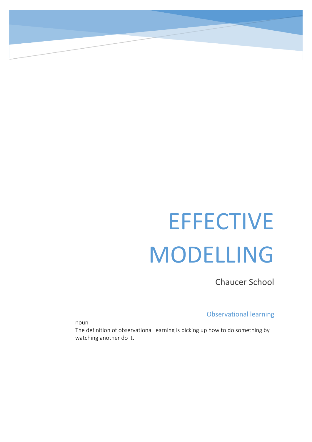# **EFFECTIVE** MODELLING

Chaucer School

Observational learning

noun

The definition of observational learning is picking up how to do something by watching another do it.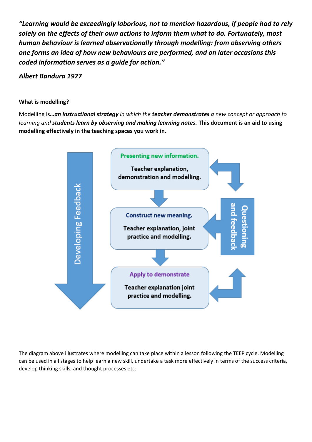*"Learning would be exceedingly laborious, not to mention hazardous, if people had to rely solely on the effects of their own actions to inform them what to do. Fortunately, most human behaviour is learned observationally through modelling: from observing others one forms an idea of how new behaviours are performed, and on later occasions this coded information serves as a guide for action."* 

*Albert Bandura 1977*

### **What is modelling?**

Modelling is*…an instructional strategy in which the teacher demonstrates a new concept or approach to learning and students learn by observing and making learning notes.* **This document is an aid to using modelling effectively in the teaching spaces you work in.**



The diagram above illustrates where modelling can take place within a lesson following the TEEP cycle. Modelling can be used in all stages to help learn a new skill, undertake a task more effectively in terms of the success criteria, develop thinking skills, and thought processes etc.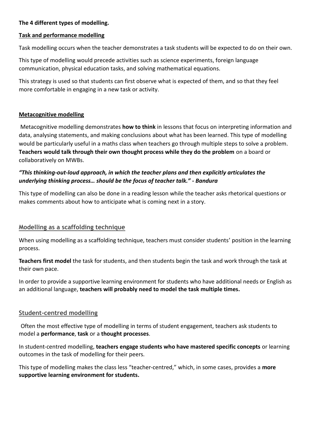## **The 4 different types of modelling.**

## **Task and performance modelling**

Task modelling occurs when the teacher demonstrates a task students will be expected to do on their own.

This type of modelling would precede activities such as science experiments, foreign language communication, physical education tasks, and solving mathematical equations.

This strategy is used so that students can first observe what is expected of them, and so that they feel more comfortable in engaging in a new task or activity.

## **Metacognitive modelling**

Metacognitive modelling demonstrates **how to think** in lessons that focus on interpreting information and data, analysing statements, and making conclusions about what has been learned. This type of modelling would be particularly useful in a maths class when teachers go through multiple steps to solve a problem. **Teachers would talk through their own thought process while they do the problem** on a board or collaboratively on MWBs.

# *"This thinking-out-loud approach, in which the teacher plans and then explicitly articulates the underlying thinking process… should be the focus of teacher talk." - Bandura*

This type of modelling can also be done in a reading lesson while the teacher asks rhetorical questions or makes comments about how to anticipate what is coming next in a story.

## **Modelling as a scaffolding technique**

When using modelling as a scaffolding technique, teachers must consider students' position in the learning process.

**Teachers first model** the task for students, and then students begin the task and work through the task at their own pace.

In order to provide a supportive learning environment for students who have additional needs or English as an additional language, **teachers will probably need to model the task multiple times.** 

## **Student-centred modelling**

Often the most effective type of modelling in terms of student engagement, teachers ask students to model a **performance**, **task** or a **thought processes**.

In student-centred modelling, **teachers engage students who have mastered specific concepts** or learning outcomes in the task of modelling for their peers.

This type of modelling makes the class less "teacher-centred," which, in some cases, provides a **more supportive learning environment for students.**